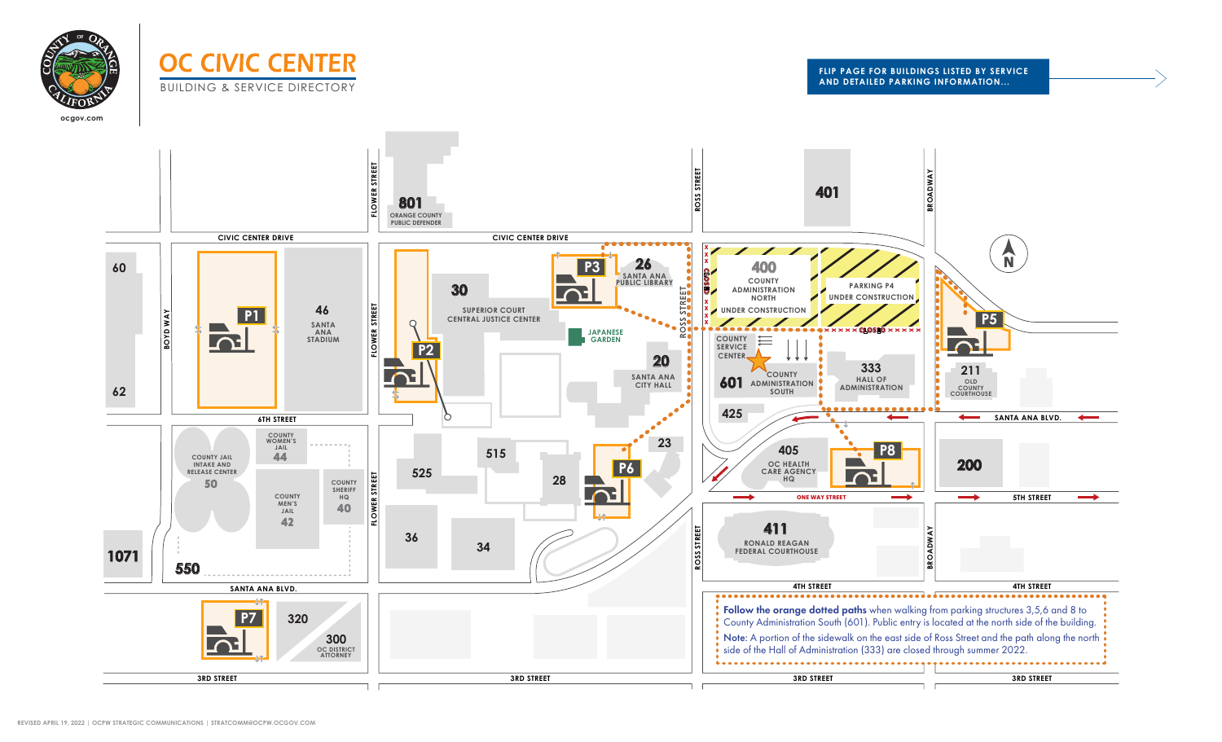

# **OC CIVIC CENTER** BUILDING & SERVICE DIRECTORY